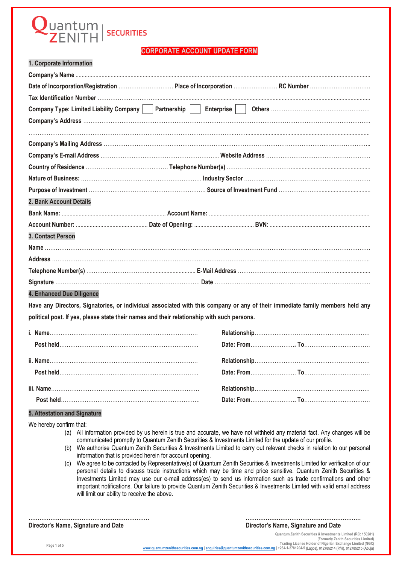## uantum<br>"ZENITH **SECURITIES**

### **CORPORATE ACCOUNT UPDATE FORM**

|  |  |  | 1. Corporate Information |  |
|--|--|--|--------------------------|--|
|--|--|--|--------------------------|--|

| 2. Bank Account Details                                                                                                       |  |  |
|-------------------------------------------------------------------------------------------------------------------------------|--|--|
|                                                                                                                               |  |  |
|                                                                                                                               |  |  |
| 3. Contact Person                                                                                                             |  |  |
|                                                                                                                               |  |  |
|                                                                                                                               |  |  |
|                                                                                                                               |  |  |
|                                                                                                                               |  |  |
| 4. Enhanced Due Diligence                                                                                                     |  |  |
| Have any Directors, Signatories, or individual associated with this company or any of their immediate family members held any |  |  |
| political post. If yes, please state their names and their relationship with such persons.                                    |  |  |
|                                                                                                                               |  |  |
|                                                                                                                               |  |  |
|                                                                                                                               |  |  |
|                                                                                                                               |  |  |
|                                                                                                                               |  |  |
|                                                                                                                               |  |  |
| 5. Attestation and Signature                                                                                                  |  |  |

We hereby confirm that:

- (a) All information provided by us herein is true and accurate, we have not withheld any material fact. Any changes will be communicated promptly to Quantum Zenith Securities & Investments Limited for the update of our profile.
- (b) We authorise Quantum Zenith Securities & Investments Limited to carry out relevant checks in relation to our personal information that is provided herein for account opening.
- (c) We agree to be contacted by Representative(s) of Quantum Zenith Securities & Investments Limited for verification of our personal details to discuss trade instructions which may be time and price sensitive. Quantum Zenith Securities & Investments Limited may use our e-mail address(es) to send us information such as trade confirmations and other important notifications. Our failure to provide Quantum Zenith Securities & Investments Limited with valid email address will limit our ability to receive the above.

**………………………………………………………… ……………………………………………………… Director's Name, Signature and Date Director's Name, Signature and Date**

**Quantum Zenith Securities & Investments Limited (RC: 150281)**  (Formerly Zenith Securities Limited)<br>Trading License Holder of Nigerian Exchange Limited (NGX)<br>www.quantumzenithsecurities.com.ng | [enquiries@quantumzenithsecurities.com](http://www.quantumzenithsecurities.com.ng/).ng | +234-1-2781204-5 [\(Lagos\), 012785214 \(P/H](mailto:enquiries@quantumzenithsecurities.com.ng)), 0127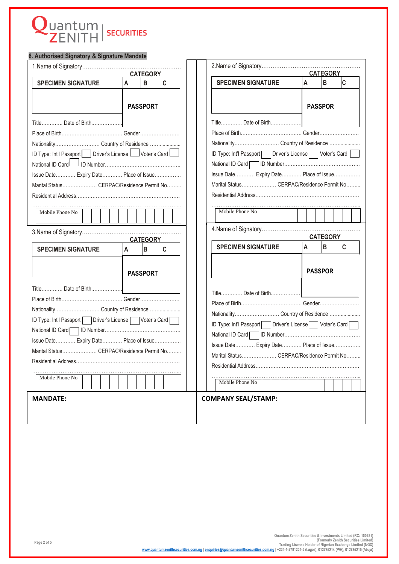# Quantum | SECURITIES

| 6. Authorised Signatory & Signature Mandate               |                 |                 |   |                                                           |                                                           |  |   |                 |             |
|-----------------------------------------------------------|-----------------|-----------------|---|-----------------------------------------------------------|-----------------------------------------------------------|--|---|-----------------|-------------|
|                                                           |                 |                 |   |                                                           |                                                           |  |   |                 |             |
| <b>CATEGORY</b>                                           |                 |                 |   | <b>CATEGORY</b>                                           |                                                           |  |   |                 |             |
| <b>SPECIMEN SIGNATURE</b>                                 | A               | B               | c |                                                           | <b>SPECIMEN SIGNATURE</b>                                 |  | A | B               | $\mathbf c$ |
|                                                           |                 |                 |   |                                                           |                                                           |  |   |                 |             |
|                                                           | <b>PASSPORT</b> |                 |   |                                                           |                                                           |  |   | <b>PASSPOR</b>  |             |
|                                                           |                 |                 |   |                                                           |                                                           |  |   |                 |             |
|                                                           |                 |                 |   |                                                           |                                                           |  |   |                 |             |
|                                                           |                 |                 |   |                                                           |                                                           |  |   |                 |             |
| Nationality Country of Residence                          |                 |                 |   |                                                           |                                                           |  |   |                 |             |
| ID Type: Int'l Passport Driver's License UVoter's Card    |                 |                 |   |                                                           | ID Type: Int'l Passport   Driver's License   Voter's Card |  |   |                 |             |
|                                                           |                 |                 |   |                                                           |                                                           |  |   |                 |             |
| Issue Date Expiry Date Place of Issue                     |                 |                 |   |                                                           | Issue Date Expiry Date Place of Issue                     |  |   |                 |             |
| Marital Status CERPAC/Residence Permit No                 |                 |                 |   |                                                           | Marital Status CERPAC/Residence Permit No                 |  |   |                 |             |
|                                                           |                 |                 |   |                                                           |                                                           |  |   |                 |             |
| Mobile Phone No                                           |                 |                 |   |                                                           | Mobile Phone No                                           |  |   |                 |             |
|                                                           |                 |                 |   |                                                           |                                                           |  |   |                 |             |
|                                                           |                 |                 |   |                                                           |                                                           |  |   |                 |             |
|                                                           |                 | <b>CATEGORY</b> |   |                                                           |                                                           |  |   | <b>CATEGORY</b> |             |
| <b>SPECIMEN SIGNATURE</b>                                 | A               | B               | c |                                                           | <b>SPECIMEN SIGNATURE</b>                                 |  | A | $\sf{B}$        | $\mathbf c$ |
|                                                           |                 |                 |   |                                                           |                                                           |  |   |                 |             |
|                                                           | <b>PASSPORT</b> |                 |   |                                                           |                                                           |  |   | <b>PASSPOR</b>  |             |
|                                                           |                 |                 |   |                                                           |                                                           |  |   |                 |             |
| Title Date of Birth                                       |                 |                 |   |                                                           |                                                           |  |   |                 |             |
|                                                           |                 |                 |   |                                                           |                                                           |  |   |                 |             |
| Nationality Country of Residence                          |                 |                 |   | Nationality Country of Residence                          |                                                           |  |   |                 |             |
| ID Type: Int'l Passport   Driver's License   Voter's Card |                 |                 |   | ID Type: Int'l Passport   Driver's License   Voter's Card |                                                           |  |   |                 |             |
|                                                           |                 |                 |   |                                                           |                                                           |  |   |                 |             |
| Issue Date Expiry Date Place of Issue                     |                 |                 |   | Issue Date Expiry Date Place of Issue                     |                                                           |  |   |                 |             |
| Marital Status CERPAC/Residence Permit No                 |                 |                 |   | Marital Status CERPAC/Residence Permit No                 |                                                           |  |   |                 |             |
|                                                           |                 |                 |   |                                                           |                                                           |  |   |                 |             |
| Mobile Phone No                                           |                 |                 |   |                                                           |                                                           |  |   |                 |             |
|                                                           |                 |                 |   |                                                           | Mobile Phone No                                           |  |   |                 |             |
| <b>MANDATE:</b>                                           |                 |                 |   |                                                           | <b>COMPANY SEAL/STAMP:</b>                                |  |   |                 |             |
|                                                           |                 |                 |   |                                                           |                                                           |  |   |                 |             |
|                                                           |                 |                 |   |                                                           |                                                           |  |   |                 |             |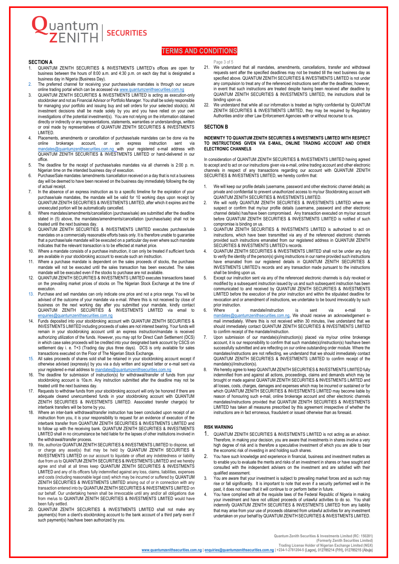#### **TERMS AND CONDITIONS**

#### **SECTION A**

Juantum<br>TZENITH

1. QUANTUM ZENITH SECURITIES & INVESTMENTS LIMITED's offices are open for business between the hours of 8:00 a.m. and 4:30 p.m. on each day that is designated a business day in Nigeria (Business Day).

**SECURITIES** 

- 2. The preferred channel for receiving your purchase/sale mandates is through our secure online trading portal which can be accessed via www.quantumzenithsecurities.com.nq
- 3. QUANTUM ZENITH SECURITIES & INVESTMENTS LIMITED is acting as execution-only stockbroker and not as Financial Advisor or Portfolio Manager. You shall be solely responsible for managing your portfolio and issuing buy and sell orders for your selected stock(s). All investment decisions shall be made solely by you and you have relied on your own investigations of the potential investment(s). You are not relying on the information obtained directly or indirectly or any representations, statements, warranties or understandings, written or oral made by representatives of QUANTUM ZENITH SECURITIES & INVESTMENTS LIMITED.
- 4. Placements, amendments or cancellation of purchase/sale mandates can be done via the<br>online brokerage account. or an express instruction sent via online brokerage account, or an express instruction sent via [mandates@quantumzenithsecurities.com.ng](mailto:mandates@quantumzenithsecurities.com.ng) with your registered e-mail address with QUANTUM ZENITH SECURITIES & INVESTMENTS LIMITED or hand-delivered in our office.
- 5. The deadline for the receipt of purchase/sales mandates via all channels is 2:00 p. m. Nigerian time on the intended business day of execution.
- 6. Purchase/Sale mandates /amendments /cancellation received on a day that is not a business day will be deemed to have been received on the business day immediately following the day of actual receipt.
- 7. In the absence of an express instruction as to a specific timeline for the expiration of your purchase/sale mandates, the mandate will be valid for 10 working days upon receipt by QUANTUM ZENITH SECURITIES & INVESTMENTS LIMITED, after which it expires and the unexecuted portion will be automatically cancelled.
- 8. Where mandates/amendments/cancellation (purchase/sale) are submitted after the deadline stated in (5) above, the mandates/amendments/cancellation (purchase/sale) shall not be treated until the next business day.
- 9. QUANTUM ZENITH SECURITIES & INVESTMENTS LIMITED executes purchase/sale mandates on a commercially reasonable efforts basis only. It is therefore unable to guarantee that a purchase/sale mandate will be executed on a particular day even where such mandate indicates that the relevant transaction is to be effected at market price.
- 10. Where a mandate consists of a purchase instruction, it can only be treated if sufficient funds are available in your stockbroking account to execute such an instruction.
- 11. Where a purchase mandate is dependent on the sales proceeds of stocks, the purchase mandate will not be executed until the sales transaction has been executed. The sales mandate will be executed even if the stocks to purchase are not available.
- 12. QUANTUM ZENITH SECURITIES & INVESTMENTS LIMITED executes transactions based on the prevailing market prices of stocks on The Nigerian Stock Exchange at the time of execution.
- 13. Purchase and sell mandates can only indicate one price and not a price range. You will be advised of the outcome of your mandate via e-mail. Where this is not received by close of business on the next working day after you submitted your mandate, kindly contact QUANTUM ZENITH SECURITIES & INVESTMENTS LIMITED via email to [enquiries@quantumzenithsecurities.com.ng](mailto:enquiries@quantumzenithsecurities.com.ng)
- 14. Funds deposited into your stockbroking account with QUANTUM ZENITH SECURITIES & INVESTMENTS LIMITED including proceeds of sales are not interest bearing. Your funds will remain in your stockbroking account until an express instruction/mandate is received authorizing utilization of the funds. However, you may opt for Direct Cash Settlement (DCS) in which case sales proceeds will be credited into your designated bank account by CSCS on settlement day i. e. T+3 (Trading day plus three days). DCS is only available for sales transactions executed on the Floor of The Nigerian Stock Exchange.
- 15. All sales proceeds of shares sold shall be retained in your stockbroking account except if otherwise advised (expressly) by you via a duly written and signed letter or e-mail sent via your registered e-mail address t[o mandates@quantumzenithsecurities.com.ng](mailto:mandates@quantumzenithsecurities.com.ng)
- 16. The deadline for submission of instruction(s) for withdrawal/transfer of funds from your stockbroking account is 10a.m. Any instruction submitted after the deadline may not be treated until the next business day.
- 17. Requests to withdraw funds from your stockbroking account will only be honored if there are adequate cleared unencumbered funds in your stockbroking account with QUANTUM ZENITH SECURITIES & INVESTMENTS LIMITED. Associated transfer charge(s) for interbank transfers will be borne by you.
- 18. Where an inter-bank withdrawal/transfer instruction has been concluded upon receipt of an instruction from you, it is your responsibility to request for an evidence of execution of the interbank transfer from QUANTUM ZENITH SECURITIES & INVESTMENTS LIMITED and to follow up with the receiving bank. QUANTUM ZENITH SECURITIES & INVESTMENTS LIMITED shall in no circumstance be held liable for the lapses of other institutions involved in the withdrawal/transfer process.
- 19. We, authorize QUANTUM ZENITH SECURITIES & INVESTMENTS LIMITED to dispose, sell or charge any asset(s) that may be held by QUANTUM ZENITH SECURITIES & INVESTMENTS LIMITED on our account to liquidate or offset any indebtedness or liability due from us to QUANTUM ZENITH SECURITIES & INVESTMENTS LIMITED and we hereby agree and shall at all times keep QUANTUM ZENITH SECURITIES & INVESTMENTS LIMITED and any of its officers fully indemnified against any loss, claims, liabilities, expenses and costs (including reasonable legal cost) which may be incurred or suffered by QUANTUM ZENITH SECURITIES & INVESTMENTS LIMITED arising out of or in connection with any transaction entered into by QUANTUM ZENITH SECURITIES & INVESTMENTS LIMITED on our behalf. Our undertaking herein shall be irrevocable until any and/or all obligations due from me/us to QUANTUM ZENITH SECURITIES & INVESTMENTS LIMITED would have been fully settled.
- 20. QUANTUM ZENITH SECURITIES & INVESTMENTS LIMITED shall not make any payment(s) from a client's stockbroking account to the bank account of a third party even if such payment(s) has/have been authorized by you.

Page 3 of 5

- 21. We understand that all mandates, amendments, cancellations, transfer and withdrawal requests sent after the specified deadlines may not be treated till the next business day as specified above. QUANTUM ZENITH SECURITIES & INVESTMENTS LIMITED is not under any compulsion to treat any of the referenced instructions sent after the deadlines; however, in event that such instructions are treated despite having been received after deadline by QUANTUM ZENITH SECURITIES & INVESTMENTS LIMITED, the instructions shall be binding upon us.
- 22. We understand that while all our information is treated as highly confidential by QUANTUM ZENITH SECURITIES & INVESTMENTS LIMITED, they may be required by Regulatory Authorities and/or other Law Enforcement Agencies with or without recourse to us.

#### **SECTION B**

#### **INDEMNITY TO QUANTUM ZENITH SECURITIES & INVESTMENTS LIMITED WITH RESPECT TO INSTRUCTIONS GIVEN VIA E-MAIL, ONLINE TRADING ACCOUNT AND OTHER ELECTRONIC CHANNELS**

In consideration of QUANTUM ZENITH SECURITIES & INVESTMENTS LIMITED having agreed to accept and to act on our instructions given via e-mail, online trading account and other electronic channels in respect of any transactions regarding our account with QUANTUM ZENITH SECURITIES & INVESTMENTS LIMITED, we hereby confirm that:

- 1. We will keep our profile details (username, password and other electronic channel details) as private and confidential to prevent unauthorized access to my/our Stockbroking account with QUANTUM ZENITH SECURITIES & INVESTMENTS LIMITED.
- 2. We will notify QUANTUM ZENITH SECURITIES & INVESTMENTS LIMITED where we suspect or confirm that my/our profile details (username, password and other electronic channel details) has/have been compromised. Any transaction executed on my/our account before QUANTUM ZENITH SECURITIES & INVESTMENTS LIMITED is notified of such compromise is binding on us.
- 3. QUANTUM ZENITH SECURITIES & INVESTMENTS LIMITED is authorized to act on instructions, which have been transmitted via any of the referenced electronic channels provided such instructions emanated from our registered address in QUANTUM ZENITH SECURITIES & INVESTMENTS LIMITED's records.
- 4. QUANTUM ZENITH SECURITIES & INVESTMENTS LIMITED shall not be under any duty to verify the identity of the person(s) giving instructions in our name provided such instructions have emanated from our registered details in QUANTUM ZENITH SECURITIES & INVESTMENTS LIMITED's records and any transaction made pursuant to the instructions shall be binding upon us.
- 5. Except our instruction sent via any of the referenced electronic channels is duly revoked or modified by a subsequent instruction issued by us and such subsequent instruction has been communicated to and received by QUANTUM ZENITH SECURITIES & INVESTMENTS LIMITED before the execution of the prior instruction and within the stipulated deadline for revocation and or amendment of instructions, we undertake to be bound irrevocably by such prior instruction.<br>Where a
- 6. Where a mandate/instruction is sent via e-mail to [mandates@quantumzenithsecurities.com.ng,](mailto:mandates@quantumzenithsecurities.com.ng) We should receive an acknowledgement email immediately. Where this is not received within 30 minutes, I/we understand that we should immediately contact QUANTUM ZENITH SECURITIES & INVESTMENTS LIMITED to confirm receipt of the mandate/instruction.
- Upon submission of our mandate(s)/instruction(s) placed via my/our online brokerage account, it is our responsibility to confirm that such mandate(s)/instruction(s) has/have been successfully submitted and are reflecting on our online outstanding order module. Where the mandates/instructions are not reflecting, we understand that we should immediately contact QUANTUM ZENITH SECURITIES & INVESTMENTS LIMITED to confirm receipt of the mandate(s)/instruction(s).
- 8. We hereby agree to keep QUANTUM ZENITH SECURITIES & INVESTMENTS LIMITED fully indemnified from and against all actions, proceedings, claims and demands which may be brought or made against QUANTUM ZENITH SECURITIES & INVESTMENTS LIMITED and all losses, costs, charges, damages and expenses which may be incurred or sustained or for which QUANTUM ZENITH SECURITIES & INVESTMENTS LIMITED may become liable by reason of honouring such e-mail, online brokerage account and other electronic channels mandates/instructions provided that QUANTUM ZENITH SECURITIES & INVESTMENTS LIMITED has taken all measures prescribed by this agreement irrespective of whether the instructions are in fact erroneous, fraudulent or issued otherwise than as foresaid.

#### **RISK WARNING**

- 1. QUANTUM ZENITH SECURITIES & INVESTMENTS LIMITED is not acting as an advisor. Therefore, in making your decision, you are aware that investments in shares involve a very high degree of risk and is therefore a speculative investment of which you are able to bear the economic risk of investing in and holding such shares.
- 2. You have such knowledge and experience in financial, business and investment matters as to enable you to evaluate the merits and risks of an investment in shares or have sought and consulted with the independent advisers on the investment and are satisfied with their qualified assessment.
- 3. You are aware that your investment is subject to prevailing market forces and as such may rise or fall significantly. It is important to note that even if a security performed well in the past, it does not mean that it will continue to or perform better in future.
- 4. You have complied with all the requisite laws of the Federal Republic of Nigeria in making your investment and have not utilized proceeds of unlawful activities to do so. You shall indemnify QUANTUM ZENITH SECURITIES & INVESTMENTS LIMITED from any liability that may arise from your use of proceeds obtained from unlawful activities for any investment undertaken on your behalf by QUANTUM ZENITH SECURITIES & INVESTMENTS LIMITED.

**Quantum Zenith Securities & Investments Limited (RC: 150281) (Formerly Zenith Securities Limited) Trading License Holder of Nigerian Exchange Limited (NGX)**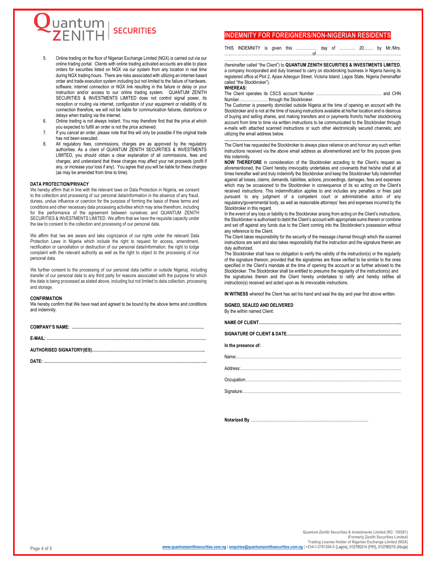

- 5. Online trading on the floor of Nigerian Exchange Limited (NGX) is carried out via our online trading portal. Clients with online trading activated accounts are able to place orders for securities listed on NGX via our system from any location in real time during NGX trading hours. There are risks associated with utilizing an internet-based order and trade execution system including but not limited to the failure of hardware, software, internet connection or NGX link resulting in the failure or delay or your instruction and/or access to our online trading system. QUANTUM ZENITH SECURITIES & INVESTMENTS LIMITED does not control signal power, its reception or routing via internet, configuration of your equipment or reliability of its connection therefore, we will not be liable for communication failures, distortions or delays when trading via the internet.
- 6. Online trading is not always instant. You may therefore find that the price at which you expected to fulfill an order is not the price achieved.
- 7. If you cancel an order, please note that this will only be possible if the original trade has not been executed.
- 8. All regulatory fees, commissions, charges are as approved by the regulatory authorities. As a client of QUANTUM ZENITH SECURITIES & INVESTMENTS LIMITED, you should obtain a clear explanation of all commissions, fees and charges, and understand that these charges may affect your net proceeds (profit if any, or increase your loss if any). You agree that you will be liable for these charges (as may be amended from time to time).

#### **DATA PROTECTION/PRIVACY**

We hereby affirm that in line with the relevant laws on Data Protection in Nigeria, we consent to the collection and processing of our personal data/information in the absence of any fraud, duress, undue influence or coercion for the purpose of forming the basis of these terms and conditions and other necessary data processing activities which may arise therefrom, including for the performance of the agreement between ourselves and QUANTUM ZENITH SECURITIES & INVESTMENTS LIMITED. We affirm that we have the requisite capacity under the law to consent to the collection and processing of our personal data.

We affirm that /we are aware and take cognizance of our rights under the relevant Data Protection Laws in Nigeria which include the right to request for access, amendment, rectification or cancellation or destruction of our personal data/information, the right to lodge complaint with the relevant authority as well as the right to object to the processing of /our personal data.

We further consent to the processing of our personal data (within or outside Nigeria), including transfer of our personal data to any third party for reasons associated with the purpose for which the data is being processed as stated above, including but not limited to data collection, processing and storage.

#### **CONFIRMATION**

We hereby confirm that We have read and agreed to be bound by the above terms and conditions and indemnity.

**COMPANY'S NAME: …………………………………………………………………………………….**

**E-MAIL: ………………………………………………………………………………………………………**

**AUTHORISED SIGNATORY(IES)………………………………………………………………………..**

**DATE: ………………………………………………………………………………………………………...**

#### **INDEMNITY FOR FOREIGNERS/NON-NIGERIAN RESIDENTS**

THIS INDEMNITY is given this …………… day of ………... 20……. by Mr./Mrs. …..……………………………………………………of……………………………………………………...

………………………………………………………………………………………………………………… (hereinafter called "the Client") to **QUANTUM ZENITH SECURITIES & INVESTMENTS LIMITED**, a company Incorporated and duly licensed to carry on stockbroking business in Nigeria having its registered office at Plot 2, Ajose Adeogun Street, Victoria Island, Lagos State, Nigeria (hereinafter called "the Stockbroker").

#### **WHEREAS:**

The Client operates its CSCS account Number ………………………………………… and CHN Number………………… through the Stockbroker.

The Customer is presently domiciled outside Nigeria at the time of opening an account with the Stockbroker and is not at the time of issuing instructions available at his/her location and is desirous of buying and selling shares, and making transfers and or payments from/to his/her stockbroking account from time to time via written instructions to be communicated to the Stockbroker through e-mails with attached scanned instructions or such other electronically secured channels; and utilizing the email address below.

**...........................................................................................................................................................** The Client has requested the Stockbroker to always place reliance on and honour any such written instructions received via the above email address as aforementioned and for this purpose gives this indemnity.

**NOW THEREFORE** in consideration of the Stockbroker acceding to the Client's request as aforementioned, the Client hereby irrevocably undertakes and covenants that he/she shall at all times hereafter well and truly indemnify the Stockbroker and keep the Stockbroker fully indemnified against all losses, claims, demands, liabilities, actions, proceedings, damages, fees and expenses which may be occasioned to the Stockbroker in consequence of its so acting on the Client's received instructions. This indemnification applies to and includes any penalties or fines paid pursuant to any judgment of a competent court or administrative action of any regulatory/governmental body, as well as reasonable attorneys' fees and expenses incurred by the Stockbroker in this regard.

In the event of any loss or liability to the Stockbroker arising from acting on the Client's instructions, the Stockbroker is authorised to debit the Client's account with appropriate sums therein or combine and set off against any funds due to the Client coming into the Stockbroker's possession without any reference to the Client.

The Client takes responsibility for the security of the message channel through which the scanned instructions are sent and also takes responsibility that the instruction and the signature therein are duly authorized.

The Stockbroker shall have no obligation to verify the validity of the instruction(s) or the regularity of the signature thereon, provided that the signatories are those verified to be similar to the ones specified in the Client's mandate at the time of opening the account or as further advised to the Stockbroker. The Stockbroker shall be entitled to presume the regularity of the instruction(s) and the signatories therein and the Client hereby undertakes to ratify and hereby ratifies all instruction(s) received and acted upon as its irrevocable instructions.

**IN WITNESS** whereof the Client has set his hand and seal the day and year first above written.

**SIGNED, SEALED AND DELIVERED** By the within named Client:

| In the presence of: |
|---------------------|
|                     |
|                     |
|                     |
|                     |

**Notarized By** ........................................................................................................